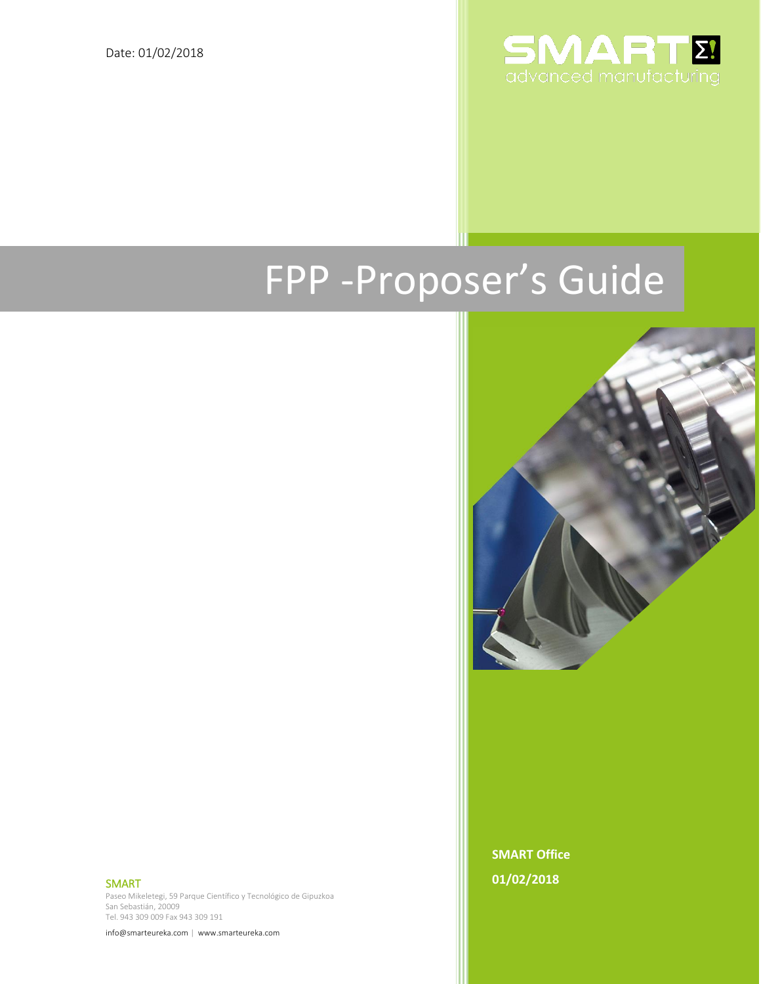

# FPP -Proposer's Guide



SMART

Paseo Mikeletegi, 59 Parque Científico y Tecnológico de Gipuzkoa San Sebastián, 20009 Tel. 943 309 009 Fax 943 309 191

info@smarteureka.com | www.smarteureka.com 0

**SMART Office 01/02/2018**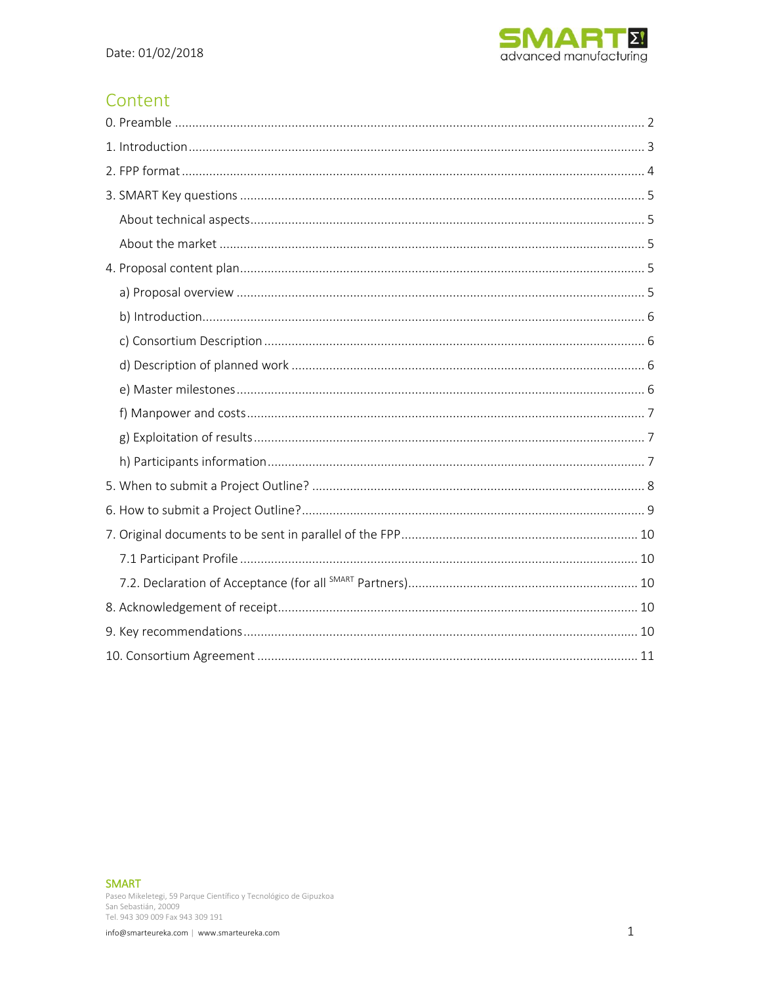

# Content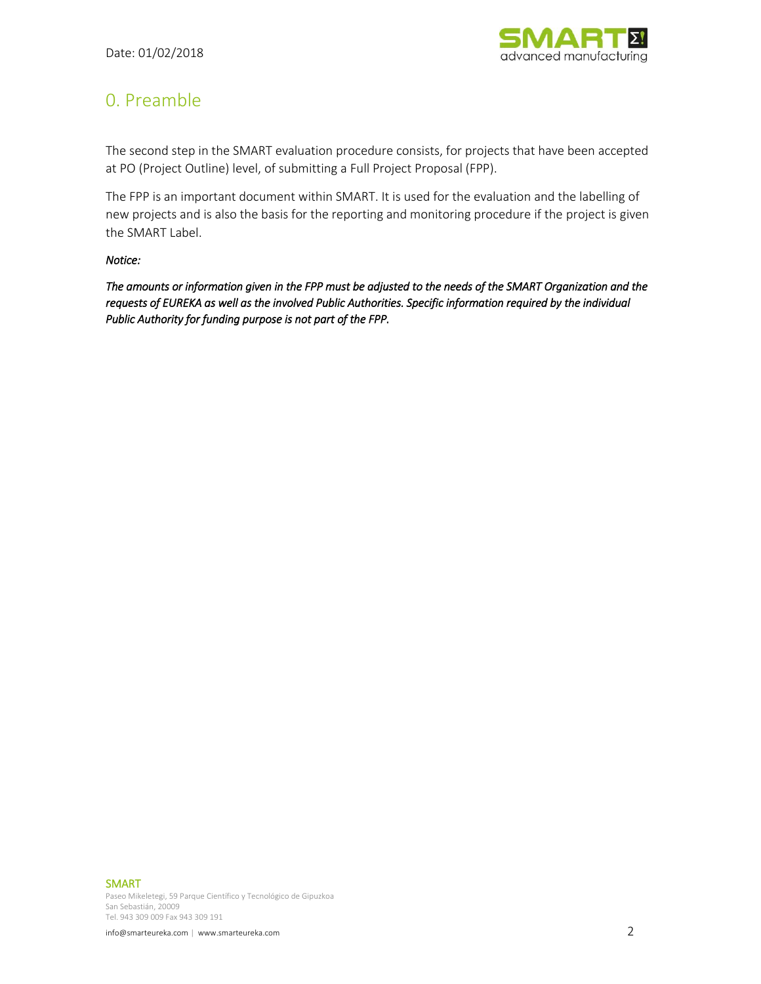

# <span id="page-2-0"></span>0. Preamble

The second step in the SMART evaluation procedure consists, for projects that have been accepted at PO (Project Outline) level, of submitting a Full Project Proposal (FPP).

The FPP is an important document within SMART. It is used for the evaluation and the labelling of new projects and is also the basis for the reporting and monitoring procedure if the project is given the SMART Label.

#### *Notice:*

*The amounts or information given in the FPP must be adjusted to the needs of the SMART Organization and the requests of EUREKA as well as the involved Public Authorities. Specific information required by the individual Public Authority for funding purpose is not part of the FPP.*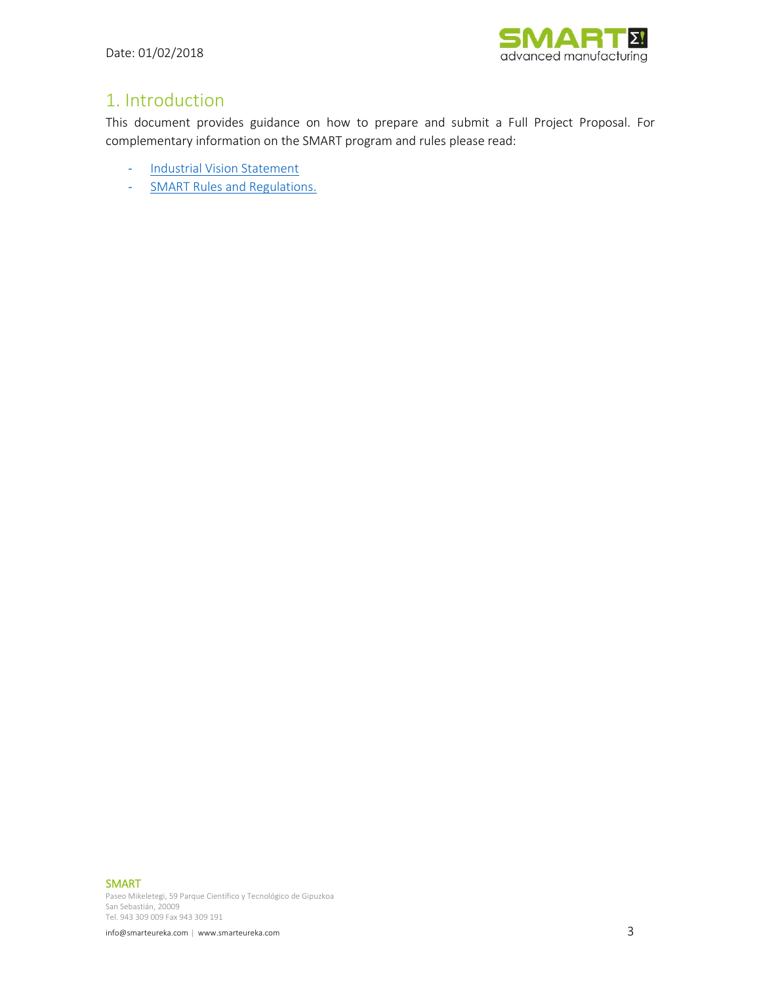

# <span id="page-3-0"></span>1. Introduction

This document provides guidance on how to prepare and submit a Full Project Proposal. For complementary information on the SMART program and rules please read:

- [Industrial Vision Statement](https://www.smarteureka.com/mediafiles/2/1517507893-20180201-smart-cluster-industrial-vision-statement-en.pdf)
- [SMART Rules and Regulations.](https://www.smarteureka.com/mediafiles/2/1517506278-20180201-smart-rules-and-regulations-en.pdf)

SMART

Paseo Mikeletegi, 59 Parque Científico y Tecnológico de Gipuzkoa San Sebastián, 20009 Tel. 943 309 009 Fax 943 309 191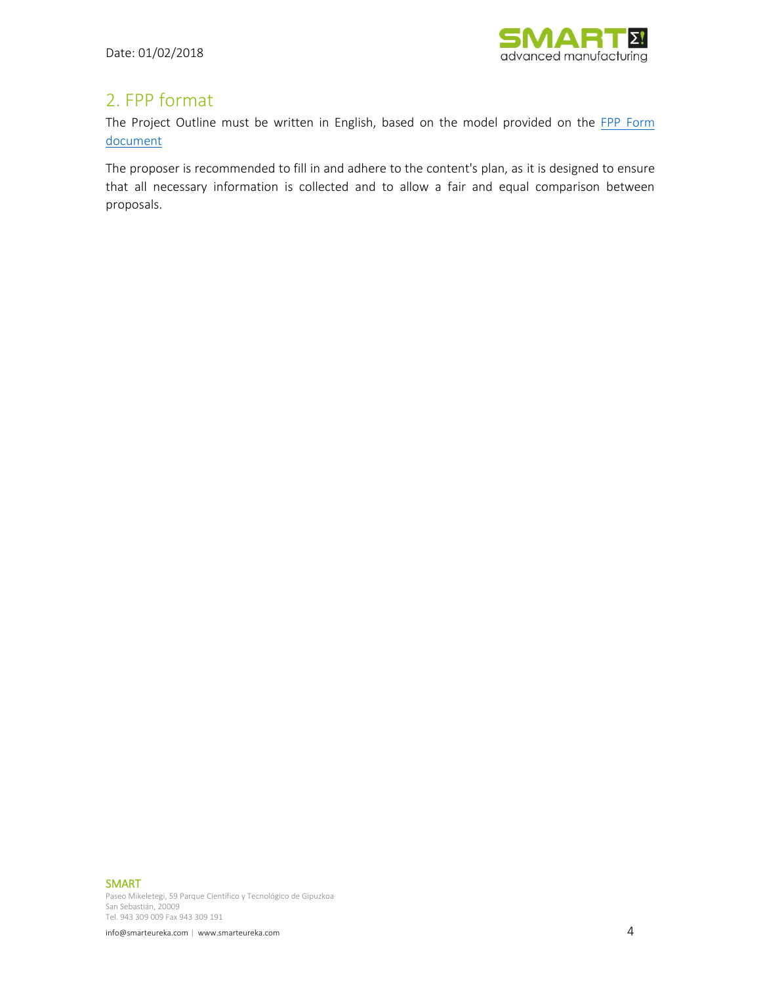

# <span id="page-4-0"></span>2. FPP format

The Project Outline must be written in English, based on the model provided on the FPP Form [document](https://www.smarteureka.com/en/submit-your-proposal/fpp-stage/)

The proposer is recommended to fill in and adhere to the content's plan, as it is designed to ensure that all necessary information is collected and to allow a fair and equal comparison between proposals.

SMART

Paseo Mikeletegi, 59 Parque Científico y Tecnológico de Gipuzkoa San Sebastián, 20009 Tel. 943 309 009 Fax 943 309 191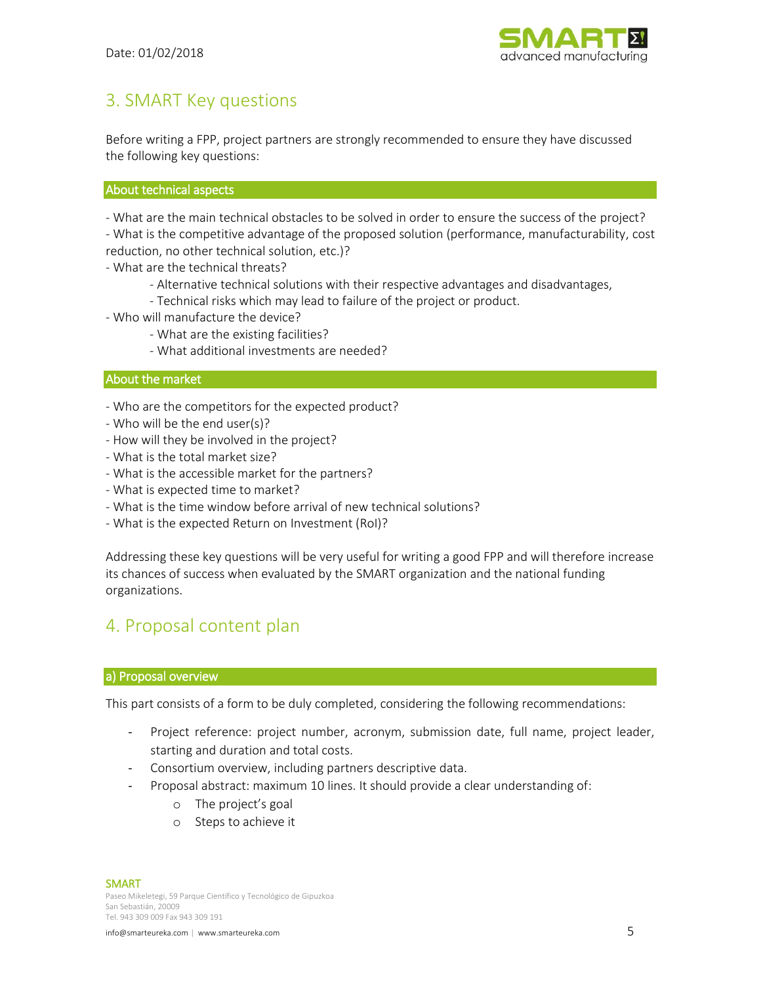

## <span id="page-5-0"></span>3. SMART Key questions

Before writing a FPP, project partners are strongly recommended to ensure they have discussed the following key questions:

#### <span id="page-5-1"></span>About technical aspects

- What are the main technical obstacles to be solved in order to ensure the success of the project?

- What is the competitive advantage of the proposed solution (performance, manufacturability, cost reduction, no other technical solution, etc.)?

- What are the technical threats?
	- Alternative technical solutions with their respective advantages and disadvantages,
	- Technical risks which may lead to failure of the project or product.
- Who will manufacture the device?
	- What are the existing facilities?
	- What additional investments are needed?

#### <span id="page-5-2"></span>About the market

- Who are the competitors for the expected product?
- Who will be the end user(s)?
- How will they be involved in the project?
- What is the total market size?
- What is the accessible market for the partners?
- What is expected time to market?
- What is the time window before arrival of new technical solutions?
- What is the expected Return on Investment (RoI)?

Addressing these key questions will be very useful for writing a good FPP and will therefore increase its chances of success when evaluated by the SMART organization and the national funding organizations.

## <span id="page-5-3"></span>4. Proposal content plan

#### <span id="page-5-4"></span>a) Proposal overview

This part consists of a form to be duly completed, considering the following recommendations:

- Project reference: project number, acronym, submission date, full name, project leader, starting and duration and total costs.
- Consortium overview, including partners descriptive data.
- Proposal abstract: maximum 10 lines. It should provide a clear understanding of:
	- o The project's goal
	- o Steps to achieve it

SMART

Paseo Mikeletegi, 59 Parque Científico y Tecnológico de Gipuzkoa San Sebastián, 20009 Tel. 943 309 009 Fax 943 309 191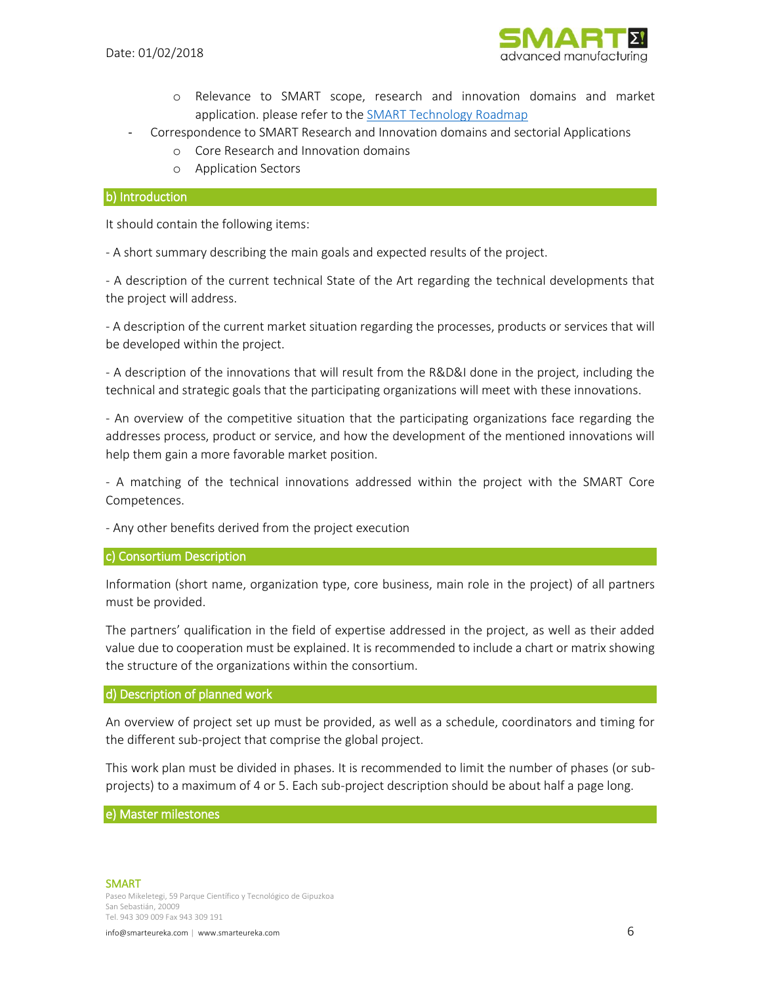

- o Relevance to SMART scope, research and innovation domains and market application. please refer to the SMART [Technology Roadmap](https://www.smarteureka.com/en/about-us/technology-roadmap/)
- Correspondence to SMART Research and Innovation domains and sectorial Applications
	- o Core Research and Innovation domains
	- o Application Sectors

#### <span id="page-6-0"></span>b) Introduction

It should contain the following items:

- A short summary describing the main goals and expected results of the project.

- A description of the current technical State of the Art regarding the technical developments that the project will address.

- A description of the current market situation regarding the processes, products or services that will be developed within the project.

- A description of the innovations that will result from the R&D&I done in the project, including the technical and strategic goals that the participating organizations will meet with these innovations.

- An overview of the competitive situation that the participating organizations face regarding the addresses process, product or service, and how the development of the mentioned innovations will help them gain a more favorable market position.

- A matching of the technical innovations addressed within the project with the SMART Core Competences.

- Any other benefits derived from the project execution

#### <span id="page-6-1"></span>c) Consortium Description

Information (short name, organization type, core business, main role in the project) of all partners must be provided.

The partners' qualification in the field of expertise addressed in the project, as well as their added value due to cooperation must be explained. It is recommended to include a chart or matrix showing the structure of the organizations within the consortium.

#### <span id="page-6-2"></span>d) Description of planned work

An overview of project set up must be provided, as well as a schedule, coordinators and timing for the different sub-project that comprise the global project.

This work plan must be divided in phases. It is recommended to limit the number of phases (or subprojects) to a maximum of 4 or 5. Each sub-project description should be about half a page long.

#### <span id="page-6-3"></span>e) Master milestones

#### SMART

Paseo Mikeletegi, 59 Parque Científico y Tecnológico de Gipuzkoa San Sebastián, 20009 Tel. 943 309 009 Fax 943 309 191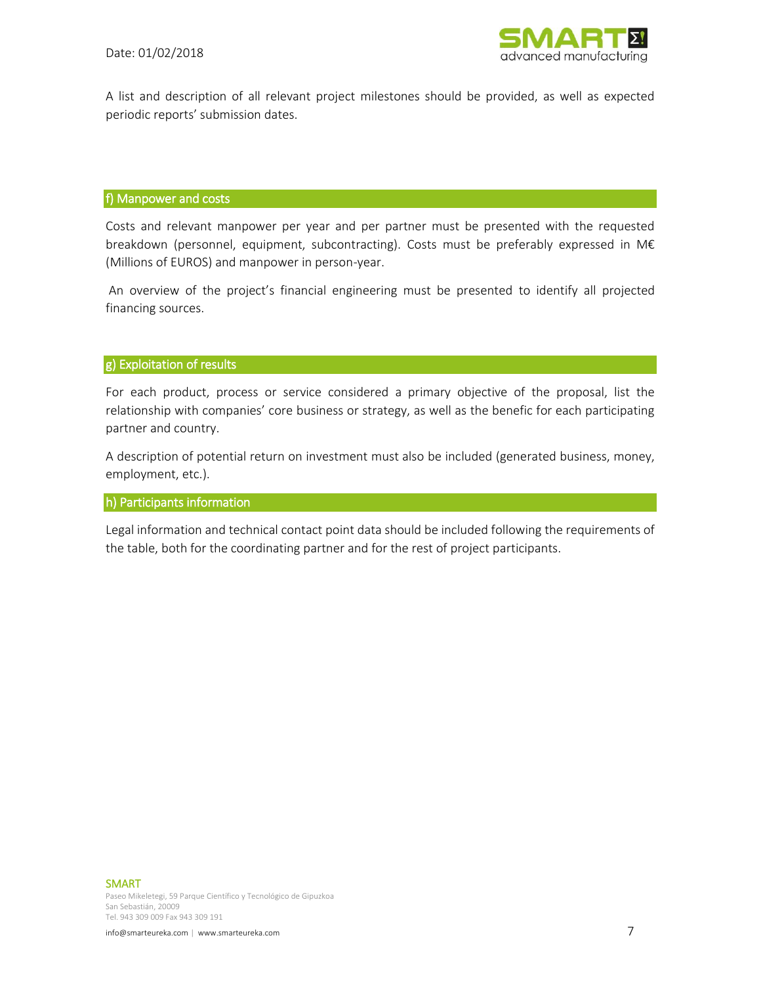

A list and description of all relevant project milestones should be provided, as well as expected periodic reports' submission dates.

#### <span id="page-7-0"></span>f) Manpower and costs

Costs and relevant manpower per year and per partner must be presented with the requested breakdown (personnel, equipment, subcontracting). Costs must be preferably expressed in M€ (Millions of EUROS) and manpower in person-year.

An overview of the project's financial engineering must be presented to identify all projected financing sources.

#### <span id="page-7-1"></span>g) Exploitation of results

For each product, process or service considered a primary objective of the proposal, list the relationship with companies' core business or strategy, as well as the benefic for each participating partner and country.

A description of potential return on investment must also be included (generated business, money, employment, etc.).

#### <span id="page-7-2"></span>h) Participants information

Legal information and technical contact point data should be included following the requirements of the table, both for the coordinating partner and for the rest of project participants.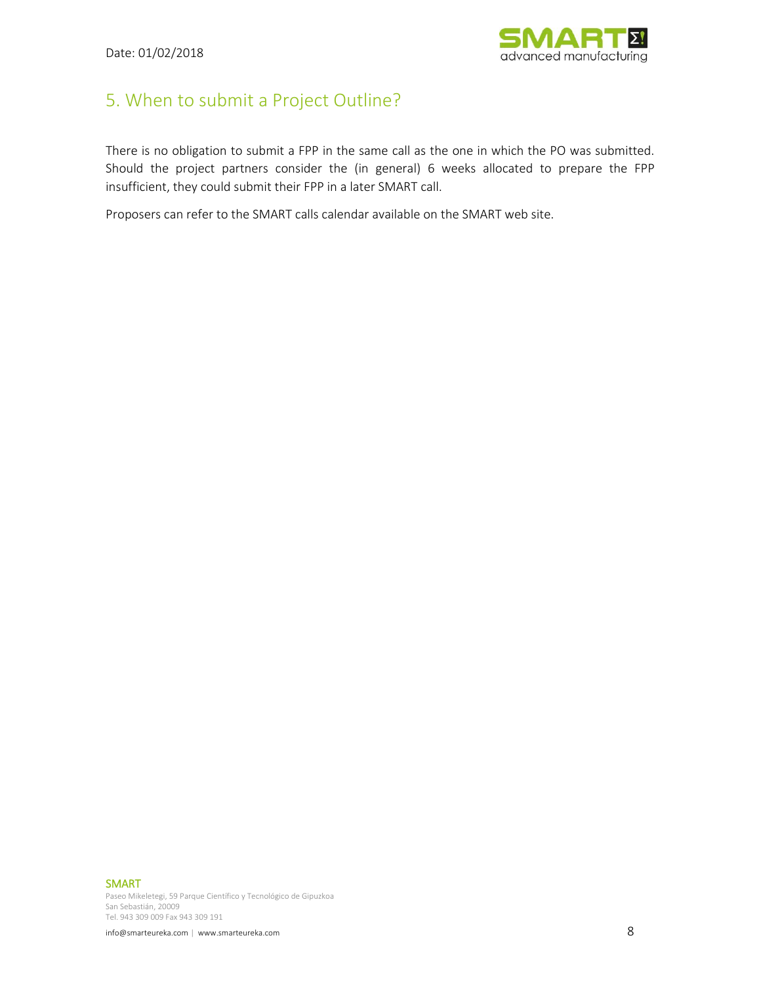

# <span id="page-8-0"></span>5. When to submit a Project Outline?

There is no obligation to submit a FPP in the same call as the one in which the PO was submitted. Should the project partners consider the (in general) 6 weeks allocated to prepare the FPP insufficient, they could submit their FPP in a later SMART call.

Proposers can refer to the SMART calls calendar available on the SMART web site.

SMART

Paseo Mikeletegi, 59 Parque Científico y Tecnológico de Gipuzkoa San Sebastián, 20009 Tel. 943 309 009 Fax 943 309 191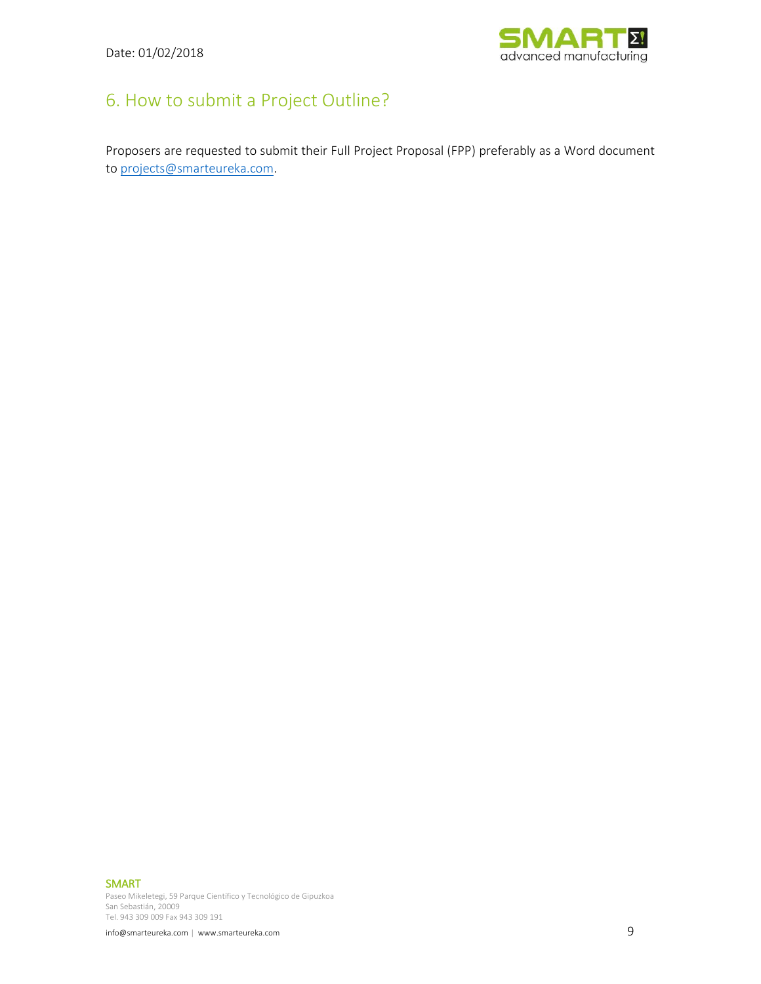

# <span id="page-9-0"></span>6. How to submit a Project Outline?

Proposers are requested to submit their Full Project Proposal (FPP) preferably as a Word document to [projects@smarteureka.com.](mailto:projects@smarteureka.com)

SMART

Paseo Mikeletegi, 59 Parque Científico y Tecnológico de Gipuzkoa San Sebastián, 20009 Tel. 943 309 009 Fax 943 309 191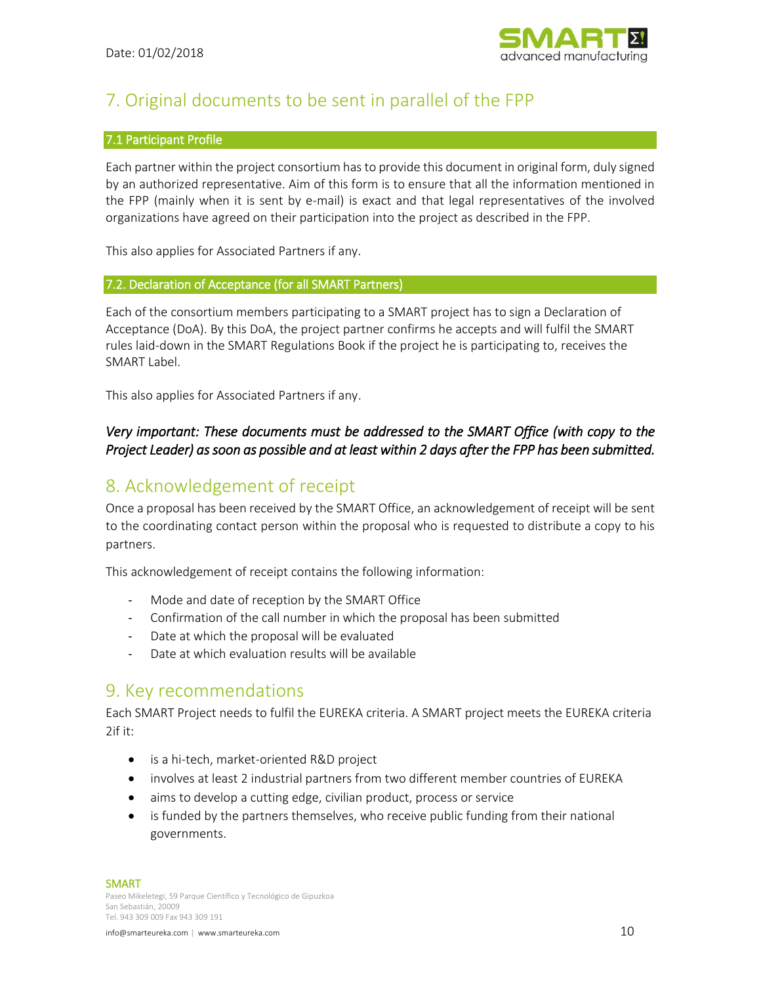

# <span id="page-10-0"></span>7. Original documents to be sent in parallel of the FPP

#### <span id="page-10-1"></span>7.1 Participant Profile

Each partner within the project consortium has to provide this document in original form, duly signed by an authorized representative. Aim of this form is to ensure that all the information mentioned in the FPP (mainly when it is sent by e-mail) is exact and that legal representatives of the involved organizations have agreed on their participation into the project as described in the FPP.

This also applies for Associated Partners if any.

#### <span id="page-10-2"></span>7.2. Declaration of Acceptance (for all SMART Partners)

Each of the consortium members participating to a SMART project has to sign a Declaration of Acceptance (DoA). By this DoA, the project partner confirms he accepts and will fulfil the SMART rules laid-down in the SMART Regulations Book if the project he is participating to, receives the SMART Label.

This also applies for Associated Partners if any.

### *Very important: These documents must be addressed to the SMART Office (with copy to the Project Leader) as soon as possible and at least within 2 days after the FPP has been submitted.*

# <span id="page-10-3"></span>8. Acknowledgement of receipt

Once a proposal has been received by the SMART Office, an acknowledgement of receipt will be sent to the coordinating contact person within the proposal who is requested to distribute a copy to his partners.

This acknowledgement of receipt contains the following information:

- Mode and date of reception by the SMART Office
- Confirmation of the call number in which the proposal has been submitted
- Date at which the proposal will be evaluated
- Date at which evaluation results will be available

## <span id="page-10-4"></span>9. Key recommendations

Each SMART Project needs to fulfil the EUREKA criteria. A SMART project meets the EUREKA criteria 2if it:

- is a hi-tech, market-oriented R&D project
- involves at least 2 industrial partners from two different member countries of EUREKA
- aims to develop a cutting edge, civilian product, process or service
- is funded by the partners themselves, who receive public funding from their national governments.

SMART

Paseo Mikeletegi, 59 Parque Científico y Tecnológico de Gipuzkoa San Sebastián, 20009 Tel. 943 309 009 Fax 943 309 191